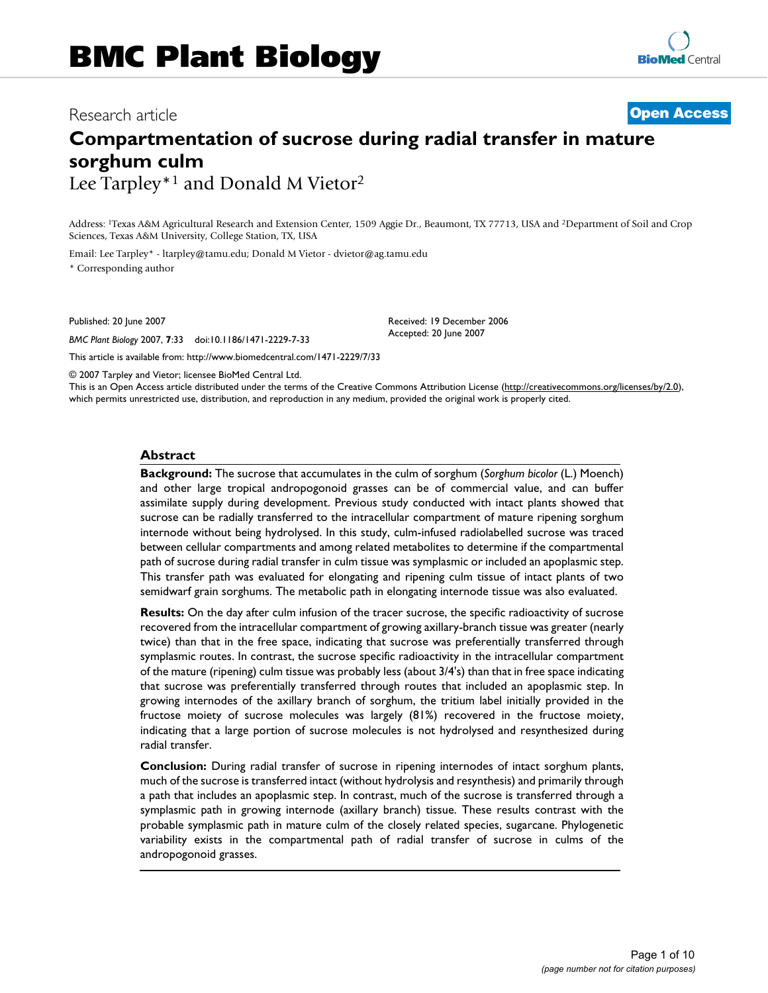# Research article **[Open Access](http://www.biomedcentral.com/info/about/charter/)**

# **Compartmentation of sucrose during radial transfer in mature sorghum culm**

Lee Tarpley\*1 and Donald M Vietor2

Address: 1Texas A&M Agricultural Research and Extension Center, 1509 Aggie Dr., Beaumont, TX 77713, USA and 2Department of Soil and Crop Sciences, Texas A&M University, College Station, TX, USA

> Received: 19 December 2006 Accepted: 20 June 2007

Email: Lee Tarpley\* - ltarpley@tamu.edu; Donald M Vietor - dvietor@ag.tamu.edu \* Corresponding author

Published: 20 June 2007

*BMC Plant Biology* 2007, **7**:33 doi:10.1186/1471-2229-7-33

[This article is available from: http://www.biomedcentral.com/1471-2229/7/33](http://www.biomedcentral.com/1471-2229/7/33)

© 2007 Tarpley and Vietor; licensee BioMed Central Ltd.

This is an Open Access article distributed under the terms of the Creative Commons Attribution License [\(http://creativecommons.org/licenses/by/2.0\)](http://creativecommons.org/licenses/by/2.0), which permits unrestricted use, distribution, and reproduction in any medium, provided the original work is properly cited.

## **Abstract**

**Background:** The sucrose that accumulates in the culm of sorghum (*Sorghum bicolor* (L.) Moench) and other large tropical andropogonoid grasses can be of commercial value, and can buffer assimilate supply during development. Previous study conducted with intact plants showed that sucrose can be radially transferred to the intracellular compartment of mature ripening sorghum internode without being hydrolysed. In this study, culm-infused radiolabelled sucrose was traced between cellular compartments and among related metabolites to determine if the compartmental path of sucrose during radial transfer in culm tissue was symplasmic or included an apoplasmic step. This transfer path was evaluated for elongating and ripening culm tissue of intact plants of two semidwarf grain sorghums. The metabolic path in elongating internode tissue was also evaluated.

**Results:** On the day after culm infusion of the tracer sucrose, the specific radioactivity of sucrose recovered from the intracellular compartment of growing axillary-branch tissue was greater (nearly twice) than that in the free space, indicating that sucrose was preferentially transferred through symplasmic routes. In contrast, the sucrose specific radioactivity in the intracellular compartment of the mature (ripening) culm tissue was probably less (about 3/4's) than that in free space indicating that sucrose was preferentially transferred through routes that included an apoplasmic step. In growing internodes of the axillary branch of sorghum, the tritium label initially provided in the fructose moiety of sucrose molecules was largely (81%) recovered in the fructose moiety, indicating that a large portion of sucrose molecules is not hydrolysed and resynthesized during radial transfer.

**Conclusion:** During radial transfer of sucrose in ripening internodes of intact sorghum plants, much of the sucrose is transferred intact (without hydrolysis and resynthesis) and primarily through a path that includes an apoplasmic step. In contrast, much of the sucrose is transferred through a symplasmic path in growing internode (axillary branch) tissue. These results contrast with the probable symplasmic path in mature culm of the closely related species, sugarcane. Phylogenetic variability exists in the compartmental path of radial transfer of sucrose in culms of the andropogonoid grasses.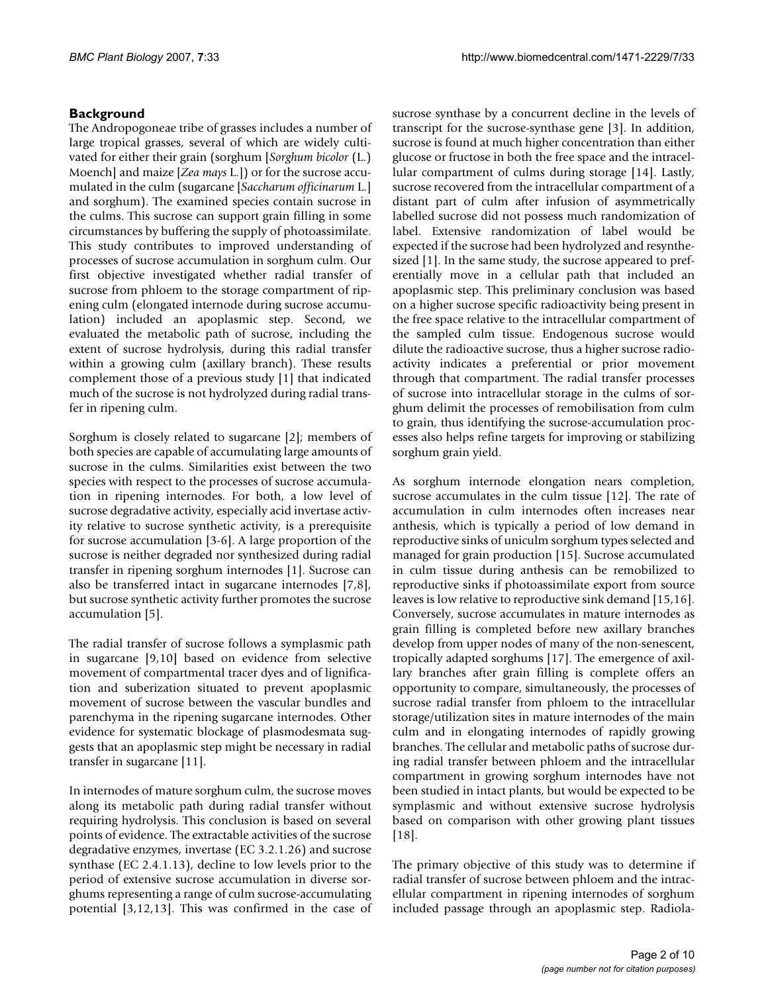# **Background**

The Andropogoneae tribe of grasses includes a number of large tropical grasses, several of which are widely cultivated for either their grain (sorghum [*Sorghum bicolor* (L.) Moench] and maize [*Zea mays* L.]) or for the sucrose accumulated in the culm (sugarcane [*Saccharum officinarum* L.] and sorghum). The examined species contain sucrose in the culms. This sucrose can support grain filling in some circumstances by buffering the supply of photoassimilate. This study contributes to improved understanding of processes of sucrose accumulation in sorghum culm. Our first objective investigated whether radial transfer of sucrose from phloem to the storage compartment of ripening culm (elongated internode during sucrose accumulation) included an apoplasmic step. Second, we evaluated the metabolic path of sucrose, including the extent of sucrose hydrolysis, during this radial transfer within a growing culm (axillary branch). These results complement those of a previous study [1] that indicated much of the sucrose is not hydrolyzed during radial transfer in ripening culm.

Sorghum is closely related to sugarcane [2]; members of both species are capable of accumulating large amounts of sucrose in the culms. Similarities exist between the two species with respect to the processes of sucrose accumulation in ripening internodes. For both, a low level of sucrose degradative activity, especially acid invertase activity relative to sucrose synthetic activity, is a prerequisite for sucrose accumulation [3-6]. A large proportion of the sucrose is neither degraded nor synthesized during radial transfer in ripening sorghum internodes [1]. Sucrose can also be transferred intact in sugarcane internodes [7,8], but sucrose synthetic activity further promotes the sucrose accumulation [5].

The radial transfer of sucrose follows a symplasmic path in sugarcane [9,10] based on evidence from selective movement of compartmental tracer dyes and of lignification and suberization situated to prevent apoplasmic movement of sucrose between the vascular bundles and parenchyma in the ripening sugarcane internodes. Other evidence for systematic blockage of plasmodesmata suggests that an apoplasmic step might be necessary in radial transfer in sugarcane [11].

In internodes of mature sorghum culm, the sucrose moves along its metabolic path during radial transfer without requiring hydrolysis. This conclusion is based on several points of evidence. The extractable activities of the sucrose degradative enzymes, invertase (EC 3.2.1.26) and sucrose synthase (EC 2.4.1.13), decline to low levels prior to the period of extensive sucrose accumulation in diverse sorghums representing a range of culm sucrose-accumulating potential [3,12,13]. This was confirmed in the case of sucrose synthase by a concurrent decline in the levels of transcript for the sucrose-synthase gene [3]. In addition, sucrose is found at much higher concentration than either glucose or fructose in both the free space and the intracellular compartment of culms during storage [14]. Lastly, sucrose recovered from the intracellular compartment of a distant part of culm after infusion of asymmetrically labelled sucrose did not possess much randomization of label. Extensive randomization of label would be expected if the sucrose had been hydrolyzed and resynthesized [1]. In the same study, the sucrose appeared to preferentially move in a cellular path that included an apoplasmic step. This preliminary conclusion was based on a higher sucrose specific radioactivity being present in the free space relative to the intracellular compartment of the sampled culm tissue. Endogenous sucrose would dilute the radioactive sucrose, thus a higher sucrose radioactivity indicates a preferential or prior movement through that compartment. The radial transfer processes of sucrose into intracellular storage in the culms of sorghum delimit the processes of remobilisation from culm to grain, thus identifying the sucrose-accumulation processes also helps refine targets for improving or stabilizing sorghum grain yield.

As sorghum internode elongation nears completion, sucrose accumulates in the culm tissue [12]. The rate of accumulation in culm internodes often increases near anthesis, which is typically a period of low demand in reproductive sinks of uniculm sorghum types selected and managed for grain production [15]. Sucrose accumulated in culm tissue during anthesis can be remobilized to reproductive sinks if photoassimilate export from source leaves is low relative to reproductive sink demand [15,16]. Conversely, sucrose accumulates in mature internodes as grain filling is completed before new axillary branches develop from upper nodes of many of the non-senescent, tropically adapted sorghums [17]. The emergence of axillary branches after grain filling is complete offers an opportunity to compare, simultaneously, the processes of sucrose radial transfer from phloem to the intracellular storage/utilization sites in mature internodes of the main culm and in elongating internodes of rapidly growing branches. The cellular and metabolic paths of sucrose during radial transfer between phloem and the intracellular compartment in growing sorghum internodes have not been studied in intact plants, but would be expected to be symplasmic and without extensive sucrose hydrolysis based on comparison with other growing plant tissues [18].

The primary objective of this study was to determine if radial transfer of sucrose between phloem and the intracellular compartment in ripening internodes of sorghum included passage through an apoplasmic step. Radiola-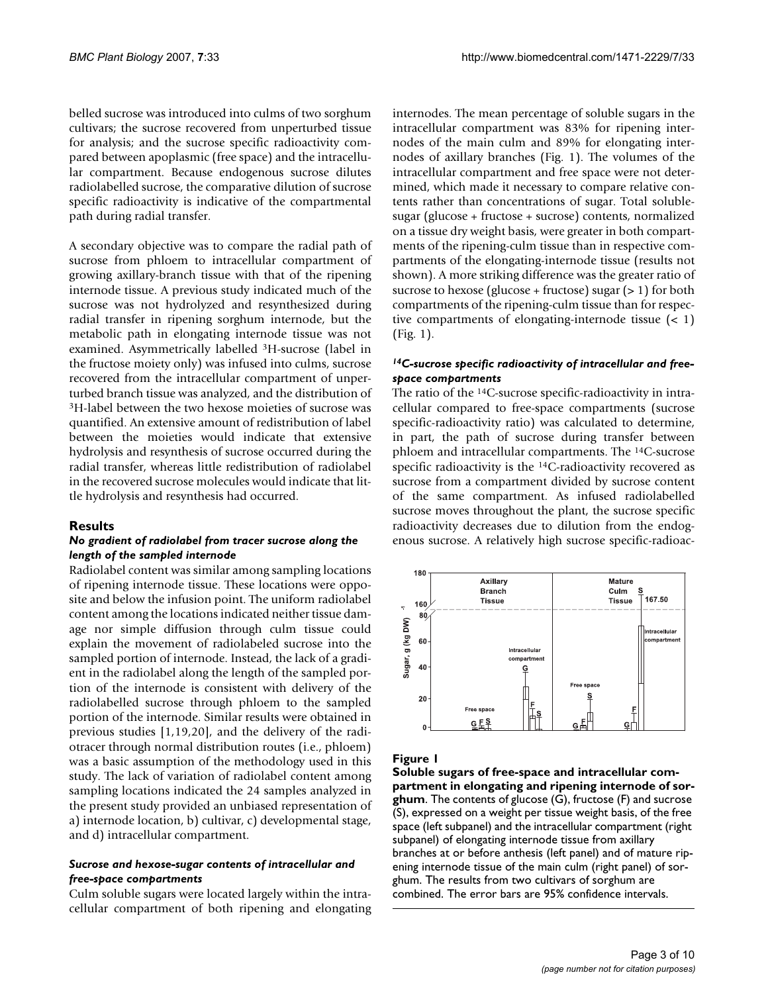belled sucrose was introduced into culms of two sorghum cultivars; the sucrose recovered from unperturbed tissue for analysis; and the sucrose specific radioactivity compared between apoplasmic (free space) and the intracellular compartment. Because endogenous sucrose dilutes radiolabelled sucrose, the comparative dilution of sucrose specific radioactivity is indicative of the compartmental path during radial transfer.

A secondary objective was to compare the radial path of sucrose from phloem to intracellular compartment of growing axillary-branch tissue with that of the ripening internode tissue. A previous study indicated much of the sucrose was not hydrolyzed and resynthesized during radial transfer in ripening sorghum internode, but the metabolic path in elongating internode tissue was not examined. Asymmetrically labelled 3H-sucrose (label in the fructose moiety only) was infused into culms, sucrose recovered from the intracellular compartment of unperturbed branch tissue was analyzed, and the distribution of 3H-label between the two hexose moieties of sucrose was quantified. An extensive amount of redistribution of label between the moieties would indicate that extensive hydrolysis and resynthesis of sucrose occurred during the radial transfer, whereas little redistribution of radiolabel in the recovered sucrose molecules would indicate that little hydrolysis and resynthesis had occurred.

## **Results**

## *No gradient of radiolabel from tracer sucrose along the length of the sampled internode*

Radiolabel content was similar among sampling locations of ripening internode tissue. These locations were opposite and below the infusion point. The uniform radiolabel content among the locations indicated neither tissue damage nor simple diffusion through culm tissue could explain the movement of radiolabeled sucrose into the sampled portion of internode. Instead, the lack of a gradient in the radiolabel along the length of the sampled portion of the internode is consistent with delivery of the radiolabelled sucrose through phloem to the sampled portion of the internode. Similar results were obtained in previous studies [1,19,20], and the delivery of the radiotracer through normal distribution routes (i.e., phloem) was a basic assumption of the methodology used in this study. The lack of variation of radiolabel content among sampling locations indicated the 24 samples analyzed in the present study provided an unbiased representation of a) internode location, b) cultivar, c) developmental stage, and d) intracellular compartment.

## *Sucrose and hexose-sugar contents of intracellular and free-space compartments*

Culm soluble sugars were located largely within the intracellular compartment of both ripening and elongating internodes. The mean percentage of soluble sugars in the intracellular compartment was 83% for ripening internodes of the main culm and 89% for elongating internodes of axillary branches (Fig. 1). The volumes of the intracellular compartment and free space were not determined, which made it necessary to compare relative contents rather than concentrations of sugar. Total solublesugar (glucose + fructose + sucrose) contents, normalized on a tissue dry weight basis, were greater in both compartments of the ripening-culm tissue than in respective compartments of the elongating-internode tissue (results not shown). A more striking difference was the greater ratio of sucrose to hexose (glucose + fructose) sugar  $(> 1)$  for both compartments of the ripening-culm tissue than for respective compartments of elongating-internode tissue (< 1) (Fig. 1).

## *14C-sucrose specific radioactivity of intracellular and freespace compartments*

The ratio of the <sup>14</sup>C-sucrose specific-radioactivity in intracellular compared to free-space compartments (sucrose specific-radioactivity ratio) was calculated to determine, in part, the path of sucrose during transfer between phloem and intracellular compartments. The 14C-sucrose specific radioactivity is the <sup>14</sup>C-radioactivity recovered as sucrose from a compartment divided by sucrose content of the same compartment. As infused radiolabelled sucrose moves throughout the plant, the sucrose specific radioactivity decreases due to dilution from the endogenous sucrose. A relatively high sucrose specific-radioac-



# **Figure 1**

**Soluble sugars of free-space and intracellular compartment in elongating and ripening internode of sorghum**. The contents of glucose (G), fructose (F) and sucrose (S), expressed on a weight per tissue weight basis, of the free space (left subpanel) and the intracellular compartment (right subpanel) of elongating internode tissue from axillary branches at or before anthesis (left panel) and of mature ripening internode tissue of the main culm (right panel) of sorghum. The results from two cultivars of sorghum are combined. The error bars are 95% confidence intervals.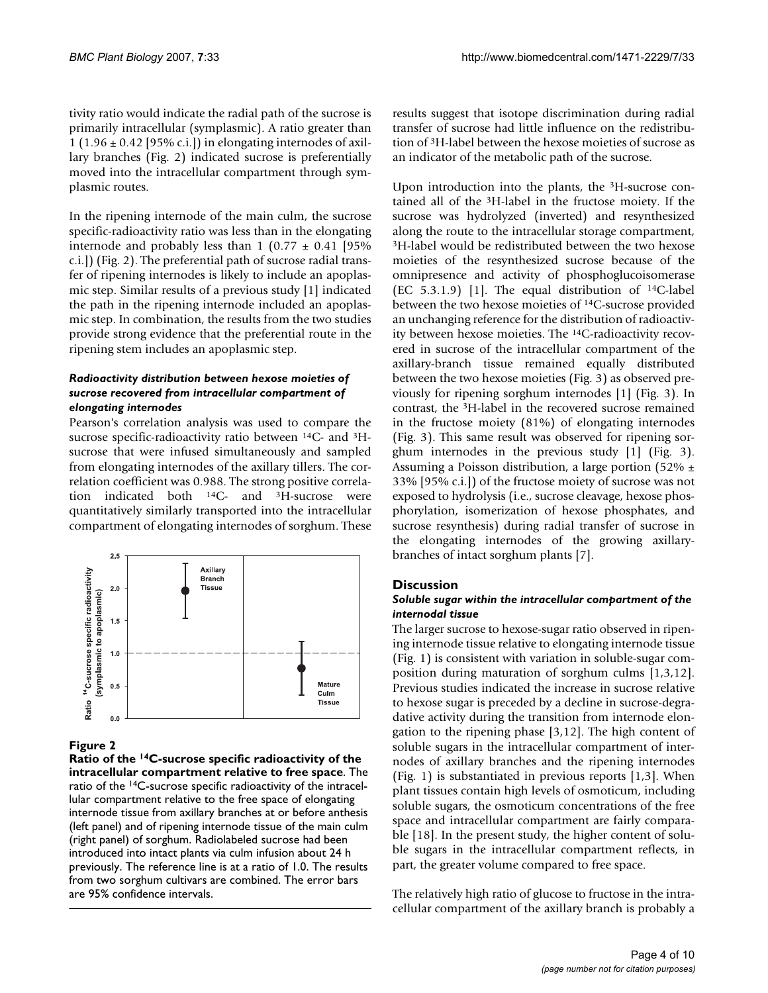tivity ratio would indicate the radial path of the sucrose is primarily intracellular (symplasmic). A ratio greater than 1 (1.96  $\pm$  0.42 [95% c.i.]) in elongating internodes of axillary branches (Fig. 2) indicated sucrose is preferentially moved into the intracellular compartment through symplasmic routes.

In the ripening internode of the main culm, the sucrose specific-radioactivity ratio was less than in the elongating internode and probably less than 1 (0.77  $\pm$  0.41 [95%] c.i.]) (Fig. 2). The preferential path of sucrose radial transfer of ripening internodes is likely to include an apoplasmic step. Similar results of a previous study [1] indicated the path in the ripening internode included an apoplasmic step. In combination, the results from the two studies provide strong evidence that the preferential route in the ripening stem includes an apoplasmic step.

# *Radioactivity distribution between hexose moieties of sucrose recovered from intracellular compartment of elongating internodes*

Pearson's correlation analysis was used to compare the sucrose specific-radioactivity ratio between 14C- and 3Hsucrose that were infused simultaneously and sampled from elongating internodes of the axillary tillers. The correlation coefficient was 0.988. The strong positive correlation indicated both 14C- and 3H-sucrose were quantitatively similarly transported into the intracellular compartment of elongating internodes of sorghum. These



# Figure 2

**Ratio of the 14C-sucrose specific radioactivity of the intracellular compartment relative to free space**. The ratio of the 14C-sucrose specific radioactivity of the intracellular compartment relative to the free space of elongating internode tissue from axillary branches at or before anthesis (left panel) and of ripening internode tissue of the main culm (right panel) of sorghum. Radiolabeled sucrose had been introduced into intact plants via culm infusion about 24 h previously. The reference line is at a ratio of 1.0. The results from two sorghum cultivars are combined. The error bars are 95% confidence intervals.

results suggest that isotope discrimination during radial transfer of sucrose had little influence on the redistribution of 3H-label between the hexose moieties of sucrose as an indicator of the metabolic path of the sucrose.

Upon introduction into the plants, the 3H-sucrose contained all of the 3H-label in the fructose moiety. If the sucrose was hydrolyzed (inverted) and resynthesized along the route to the intracellular storage compartment, 3H-label would be redistributed between the two hexose moieties of the resynthesized sucrose because of the omnipresence and activity of phosphoglucoisomerase (EC 5.3.1.9) [1]. The equal distribution of 14C-label between the two hexose moieties of 14C-sucrose provided an unchanging reference for the distribution of radioactivity between hexose moieties. The 14C-radioactivity recovered in sucrose of the intracellular compartment of the axillary-branch tissue remained equally distributed between the two hexose moieties (Fig. 3) as observed previously for ripening sorghum internodes [1] (Fig. 3). In contrast, the 3H-label in the recovered sucrose remained in the fructose moiety (81%) of elongating internodes (Fig. 3). This same result was observed for ripening sorghum internodes in the previous study [1] (Fig. 3). Assuming a Poisson distribution, a large portion (52%  $\pm$ 33% [95% c.i.]) of the fructose moiety of sucrose was not exposed to hydrolysis (i.e., sucrose cleavage, hexose phosphorylation, isomerization of hexose phosphates, and sucrose resynthesis) during radial transfer of sucrose in the elongating internodes of the growing axillarybranches of intact sorghum plants [7].

# **Discussion**

# *Soluble sugar within the intracellular compartment of the internodal tissue*

The larger sucrose to hexose-sugar ratio observed in ripening internode tissue relative to elongating internode tissue (Fig. 1) is consistent with variation in soluble-sugar composition during maturation of sorghum culms [1,3,12]. Previous studies indicated the increase in sucrose relative to hexose sugar is preceded by a decline in sucrose-degradative activity during the transition from internode elongation to the ripening phase [3,12]. The high content of soluble sugars in the intracellular compartment of internodes of axillary branches and the ripening internodes (Fig. 1) is substantiated in previous reports [1,3]. When plant tissues contain high levels of osmoticum, including soluble sugars, the osmoticum concentrations of the free space and intracellular compartment are fairly comparable [18]. In the present study, the higher content of soluble sugars in the intracellular compartment reflects, in part, the greater volume compared to free space.

The relatively high ratio of glucose to fructose in the intracellular compartment of the axillary branch is probably a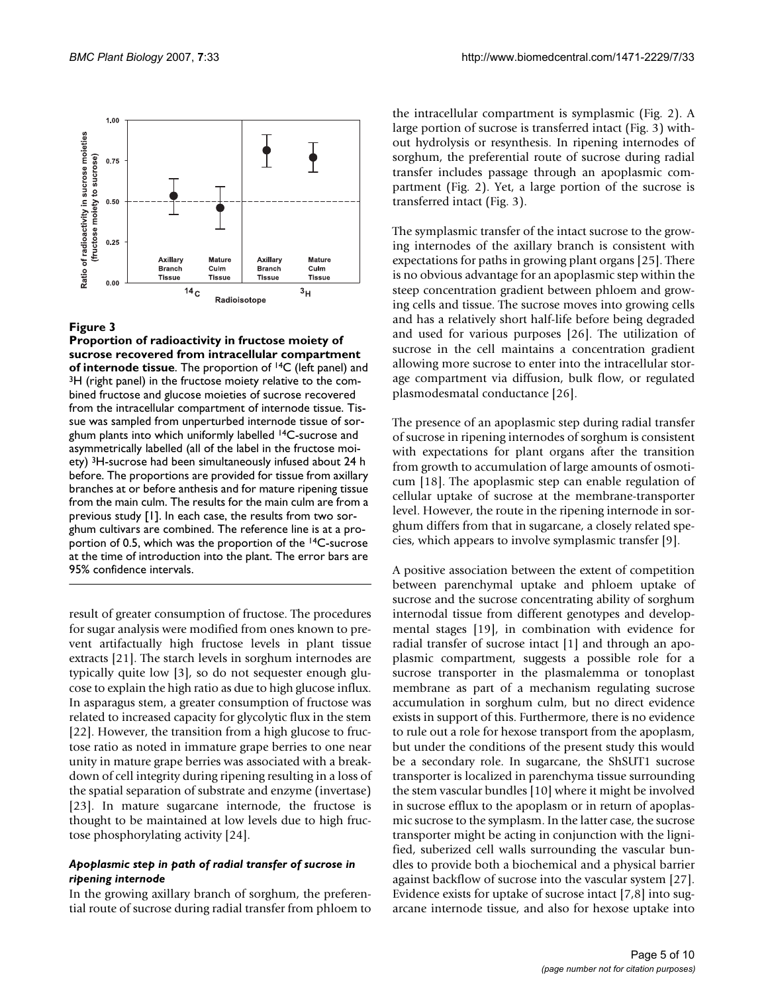

# **Figure 3**

**Proportion of radioactivity in fructose moiety of sucrose recovered from intracellular compartment of internode tissue**. The proportion of 14C (left panel) and <sup>3</sup>H (right panel) in the fructose moiety relative to the combined fructose and glucose moieties of sucrose recovered from the intracellular compartment of internode tissue. Tissue was sampled from unperturbed internode tissue of sorghum plants into which uniformly labelled <sup>14</sup>C-sucrose and asymmetrically labelled (all of the label in the fructose moiety) 3H-sucrose had been simultaneously infused about 24 h before. The proportions are provided for tissue from axillary branches at or before anthesis and for mature ripening tissue from the main culm. The results for the main culm are from a previous study [1]. In each case, the results from two sorghum cultivars are combined. The reference line is at a proportion of 0.5, which was the proportion of the 14C-sucrose at the time of introduction into the plant. The error bars are 95% confidence intervals.

result of greater consumption of fructose. The procedures for sugar analysis were modified from ones known to prevent artifactually high fructose levels in plant tissue extracts [21]. The starch levels in sorghum internodes are typically quite low [3], so do not sequester enough glucose to explain the high ratio as due to high glucose influx. In asparagus stem, a greater consumption of fructose was related to increased capacity for glycolytic flux in the stem [22]. However, the transition from a high glucose to fructose ratio as noted in immature grape berries to one near unity in mature grape berries was associated with a breakdown of cell integrity during ripening resulting in a loss of the spatial separation of substrate and enzyme (invertase) [23]. In mature sugarcane internode, the fructose is thought to be maintained at low levels due to high fructose phosphorylating activity [24].

# *Apoplasmic step in path of radial transfer of sucrose in ripening internode*

In the growing axillary branch of sorghum, the preferential route of sucrose during radial transfer from phloem to

the intracellular compartment is symplasmic (Fig. 2). A large portion of sucrose is transferred intact (Fig. 3) without hydrolysis or resynthesis. In ripening internodes of sorghum, the preferential route of sucrose during radial transfer includes passage through an apoplasmic compartment (Fig. 2). Yet, a large portion of the sucrose is transferred intact (Fig. 3).

The symplasmic transfer of the intact sucrose to the growing internodes of the axillary branch is consistent with expectations for paths in growing plant organs [25]. There is no obvious advantage for an apoplasmic step within the steep concentration gradient between phloem and growing cells and tissue. The sucrose moves into growing cells and has a relatively short half-life before being degraded and used for various purposes [26]. The utilization of sucrose in the cell maintains a concentration gradient allowing more sucrose to enter into the intracellular storage compartment via diffusion, bulk flow, or regulated plasmodesmatal conductance [26].

The presence of an apoplasmic step during radial transfer of sucrose in ripening internodes of sorghum is consistent with expectations for plant organs after the transition from growth to accumulation of large amounts of osmoticum [18]. The apoplasmic step can enable regulation of cellular uptake of sucrose at the membrane-transporter level. However, the route in the ripening internode in sorghum differs from that in sugarcane, a closely related species, which appears to involve symplasmic transfer [9].

A positive association between the extent of competition between parenchymal uptake and phloem uptake of sucrose and the sucrose concentrating ability of sorghum internodal tissue from different genotypes and developmental stages [19], in combination with evidence for radial transfer of sucrose intact [1] and through an apoplasmic compartment, suggests a possible role for a sucrose transporter in the plasmalemma or tonoplast membrane as part of a mechanism regulating sucrose accumulation in sorghum culm, but no direct evidence exists in support of this. Furthermore, there is no evidence to rule out a role for hexose transport from the apoplasm, but under the conditions of the present study this would be a secondary role. In sugarcane, the ShSUT1 sucrose transporter is localized in parenchyma tissue surrounding the stem vascular bundles [10] where it might be involved in sucrose efflux to the apoplasm or in return of apoplasmic sucrose to the symplasm. In the latter case, the sucrose transporter might be acting in conjunction with the lignified, suberized cell walls surrounding the vascular bundles to provide both a biochemical and a physical barrier against backflow of sucrose into the vascular system [27]. Evidence exists for uptake of sucrose intact [7,8] into sugarcane internode tissue, and also for hexose uptake into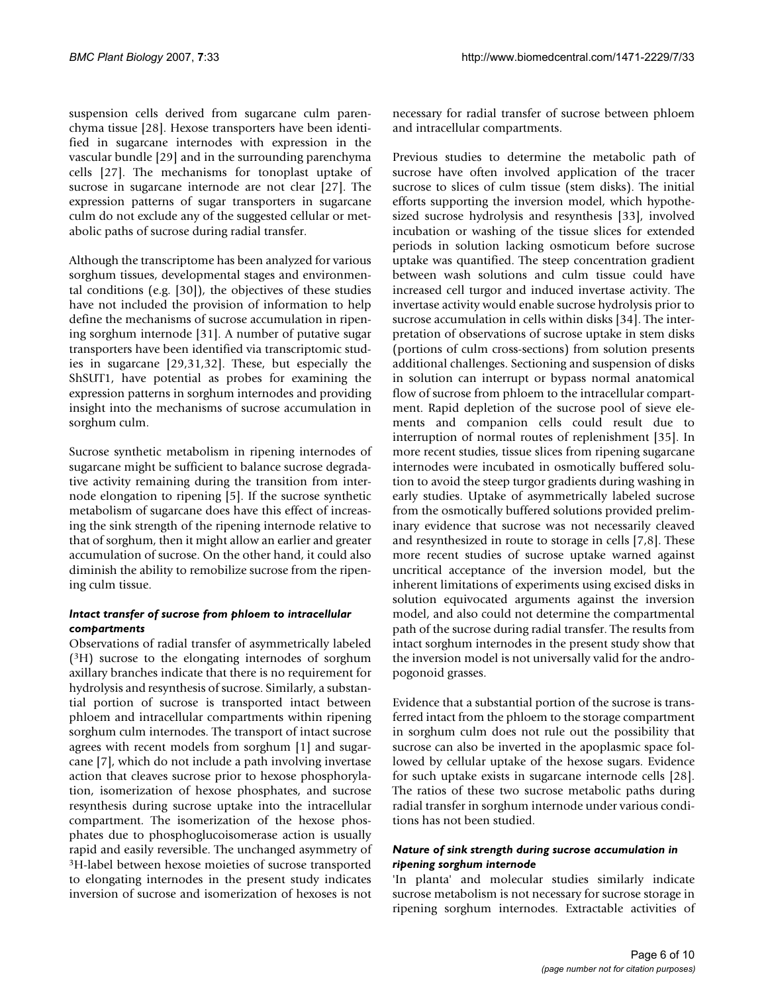suspension cells derived from sugarcane culm parenchyma tissue [28]. Hexose transporters have been identified in sugarcane internodes with expression in the vascular bundle [29] and in the surrounding parenchyma cells [27]. The mechanisms for tonoplast uptake of sucrose in sugarcane internode are not clear [27]. The expression patterns of sugar transporters in sugarcane culm do not exclude any of the suggested cellular or metabolic paths of sucrose during radial transfer.

Although the transcriptome has been analyzed for various sorghum tissues, developmental stages and environmental conditions (e.g. [30]), the objectives of these studies have not included the provision of information to help define the mechanisms of sucrose accumulation in ripening sorghum internode [31]. A number of putative sugar transporters have been identified via transcriptomic studies in sugarcane [29,31,32]. These, but especially the ShSUT1, have potential as probes for examining the expression patterns in sorghum internodes and providing insight into the mechanisms of sucrose accumulation in sorghum culm.

Sucrose synthetic metabolism in ripening internodes of sugarcane might be sufficient to balance sucrose degradative activity remaining during the transition from internode elongation to ripening [5]. If the sucrose synthetic metabolism of sugarcane does have this effect of increasing the sink strength of the ripening internode relative to that of sorghum, then it might allow an earlier and greater accumulation of sucrose. On the other hand, it could also diminish the ability to remobilize sucrose from the ripening culm tissue.

# *Intact transfer of sucrose from phloem to intracellular compartments*

Observations of radial transfer of asymmetrically labeled (3H) sucrose to the elongating internodes of sorghum axillary branches indicate that there is no requirement for hydrolysis and resynthesis of sucrose. Similarly, a substantial portion of sucrose is transported intact between phloem and intracellular compartments within ripening sorghum culm internodes. The transport of intact sucrose agrees with recent models from sorghum [1] and sugarcane [7], which do not include a path involving invertase action that cleaves sucrose prior to hexose phosphorylation, isomerization of hexose phosphates, and sucrose resynthesis during sucrose uptake into the intracellular compartment. The isomerization of the hexose phosphates due to phosphoglucoisomerase action is usually rapid and easily reversible. The unchanged asymmetry of 3H-label between hexose moieties of sucrose transported to elongating internodes in the present study indicates inversion of sucrose and isomerization of hexoses is not necessary for radial transfer of sucrose between phloem and intracellular compartments.

Previous studies to determine the metabolic path of sucrose have often involved application of the tracer sucrose to slices of culm tissue (stem disks). The initial efforts supporting the inversion model, which hypothesized sucrose hydrolysis and resynthesis [33], involved incubation or washing of the tissue slices for extended periods in solution lacking osmoticum before sucrose uptake was quantified. The steep concentration gradient between wash solutions and culm tissue could have increased cell turgor and induced invertase activity. The invertase activity would enable sucrose hydrolysis prior to sucrose accumulation in cells within disks [34]. The interpretation of observations of sucrose uptake in stem disks (portions of culm cross-sections) from solution presents additional challenges. Sectioning and suspension of disks in solution can interrupt or bypass normal anatomical flow of sucrose from phloem to the intracellular compartment. Rapid depletion of the sucrose pool of sieve elements and companion cells could result due to interruption of normal routes of replenishment [35]. In more recent studies, tissue slices from ripening sugarcane internodes were incubated in osmotically buffered solution to avoid the steep turgor gradients during washing in early studies. Uptake of asymmetrically labeled sucrose from the osmotically buffered solutions provided preliminary evidence that sucrose was not necessarily cleaved and resynthesized in route to storage in cells [7,8]. These more recent studies of sucrose uptake warned against uncritical acceptance of the inversion model, but the inherent limitations of experiments using excised disks in solution equivocated arguments against the inversion model, and also could not determine the compartmental path of the sucrose during radial transfer. The results from intact sorghum internodes in the present study show that the inversion model is not universally valid for the andropogonoid grasses.

Evidence that a substantial portion of the sucrose is transferred intact from the phloem to the storage compartment in sorghum culm does not rule out the possibility that sucrose can also be inverted in the apoplasmic space followed by cellular uptake of the hexose sugars. Evidence for such uptake exists in sugarcane internode cells [28]. The ratios of these two sucrose metabolic paths during radial transfer in sorghum internode under various conditions has not been studied.

# *Nature of sink strength during sucrose accumulation in ripening sorghum internode*

'In planta' and molecular studies similarly indicate sucrose metabolism is not necessary for sucrose storage in ripening sorghum internodes. Extractable activities of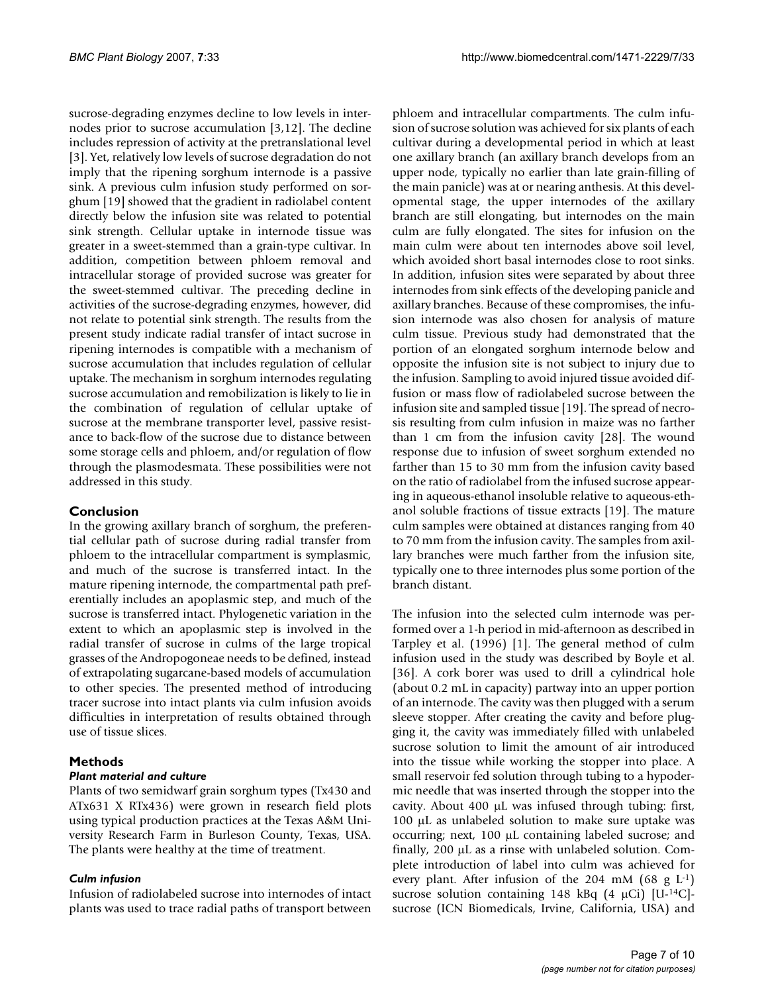sucrose-degrading enzymes decline to low levels in internodes prior to sucrose accumulation [3,12]. The decline includes repression of activity at the pretranslational level [3]. Yet, relatively low levels of sucrose degradation do not imply that the ripening sorghum internode is a passive sink. A previous culm infusion study performed on sorghum [19] showed that the gradient in radiolabel content directly below the infusion site was related to potential sink strength. Cellular uptake in internode tissue was greater in a sweet-stemmed than a grain-type cultivar. In addition, competition between phloem removal and intracellular storage of provided sucrose was greater for the sweet-stemmed cultivar. The preceding decline in activities of the sucrose-degrading enzymes, however, did not relate to potential sink strength. The results from the present study indicate radial transfer of intact sucrose in ripening internodes is compatible with a mechanism of sucrose accumulation that includes regulation of cellular uptake. The mechanism in sorghum internodes regulating sucrose accumulation and remobilization is likely to lie in the combination of regulation of cellular uptake of sucrose at the membrane transporter level, passive resistance to back-flow of the sucrose due to distance between some storage cells and phloem, and/or regulation of flow through the plasmodesmata. These possibilities were not addressed in this study.

# **Conclusion**

In the growing axillary branch of sorghum, the preferential cellular path of sucrose during radial transfer from phloem to the intracellular compartment is symplasmic, and much of the sucrose is transferred intact. In the mature ripening internode, the compartmental path preferentially includes an apoplasmic step, and much of the sucrose is transferred intact. Phylogenetic variation in the extent to which an apoplasmic step is involved in the radial transfer of sucrose in culms of the large tropical grasses of the Andropogoneae needs to be defined, instead of extrapolating sugarcane-based models of accumulation to other species. The presented method of introducing tracer sucrose into intact plants via culm infusion avoids difficulties in interpretation of results obtained through use of tissue slices.

## **Methods**

## *Plant material and culture*

Plants of two semidwarf grain sorghum types (Tx430 and ATx631 X RTx436) were grown in research field plots using typical production practices at the Texas A&M University Research Farm in Burleson County, Texas, USA. The plants were healthy at the time of treatment.

## *Culm infusion*

Infusion of radiolabeled sucrose into internodes of intact plants was used to trace radial paths of transport between

phloem and intracellular compartments. The culm infusion of sucrose solution was achieved for six plants of each cultivar during a developmental period in which at least one axillary branch (an axillary branch develops from an upper node, typically no earlier than late grain-filling of the main panicle) was at or nearing anthesis. At this developmental stage, the upper internodes of the axillary branch are still elongating, but internodes on the main culm are fully elongated. The sites for infusion on the main culm were about ten internodes above soil level, which avoided short basal internodes close to root sinks. In addition, infusion sites were separated by about three internodes from sink effects of the developing panicle and axillary branches. Because of these compromises, the infusion internode was also chosen for analysis of mature culm tissue. Previous study had demonstrated that the portion of an elongated sorghum internode below and opposite the infusion site is not subject to injury due to the infusion. Sampling to avoid injured tissue avoided diffusion or mass flow of radiolabeled sucrose between the infusion site and sampled tissue [19]. The spread of necrosis resulting from culm infusion in maize was no farther than 1 cm from the infusion cavity [28]. The wound response due to infusion of sweet sorghum extended no farther than 15 to 30 mm from the infusion cavity based on the ratio of radiolabel from the infused sucrose appearing in aqueous-ethanol insoluble relative to aqueous-ethanol soluble fractions of tissue extracts [19]. The mature culm samples were obtained at distances ranging from 40 to 70 mm from the infusion cavity. The samples from axillary branches were much farther from the infusion site, typically one to three internodes plus some portion of the branch distant.

The infusion into the selected culm internode was performed over a 1-h period in mid-afternoon as described in Tarpley et al. (1996) [1]. The general method of culm infusion used in the study was described by Boyle et al. [36]. A cork borer was used to drill a cylindrical hole (about 0.2 mL in capacity) partway into an upper portion of an internode. The cavity was then plugged with a serum sleeve stopper. After creating the cavity and before plugging it, the cavity was immediately filled with unlabeled sucrose solution to limit the amount of air introduced into the tissue while working the stopper into place. A small reservoir fed solution through tubing to a hypodermic needle that was inserted through the stopper into the cavity. About 400 µL was infused through tubing: first, 100 µL as unlabeled solution to make sure uptake was occurring; next, 100 µL containing labeled sucrose; and finally, 200 µL as a rinse with unlabeled solution. Complete introduction of label into culm was achieved for every plant. After infusion of the 204 mM (68 g  $L^{-1}$ ) sucrose solution containing 148 kBq  $(4 \mu\text{Ci})$  [U-<sup>14</sup>C]sucrose (ICN Biomedicals, Irvine, California, USA) and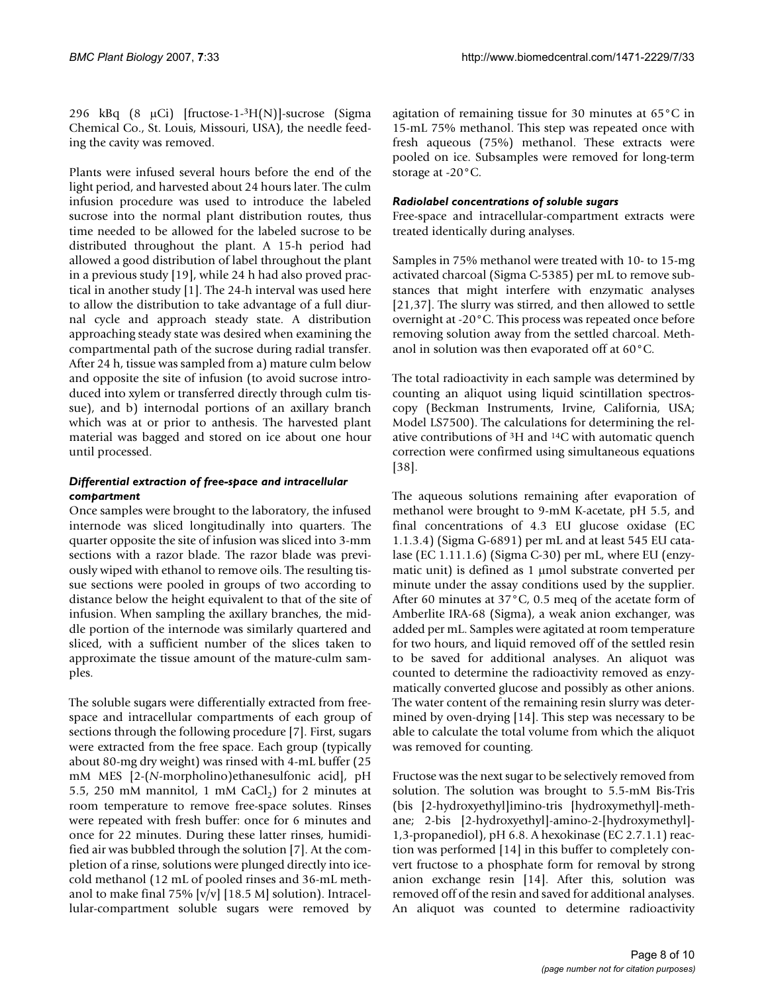296 kBq (8 µCi) [fructose-1-3H(N)]-sucrose (Sigma Chemical Co., St. Louis, Missouri, USA), the needle feeding the cavity was removed.

Plants were infused several hours before the end of the light period, and harvested about 24 hours later. The culm infusion procedure was used to introduce the labeled sucrose into the normal plant distribution routes, thus time needed to be allowed for the labeled sucrose to be distributed throughout the plant. A 15-h period had allowed a good distribution of label throughout the plant in a previous study [19], while 24 h had also proved practical in another study [1]. The 24-h interval was used here to allow the distribution to take advantage of a full diurnal cycle and approach steady state. A distribution approaching steady state was desired when examining the compartmental path of the sucrose during radial transfer. After 24 h, tissue was sampled from a) mature culm below and opposite the site of infusion (to avoid sucrose introduced into xylem or transferred directly through culm tissue), and b) internodal portions of an axillary branch which was at or prior to anthesis. The harvested plant material was bagged and stored on ice about one hour until processed.

# *Differential extraction of free-space and intracellular compartment*

Once samples were brought to the laboratory, the infused internode was sliced longitudinally into quarters. The quarter opposite the site of infusion was sliced into 3-mm sections with a razor blade. The razor blade was previously wiped with ethanol to remove oils. The resulting tissue sections were pooled in groups of two according to distance below the height equivalent to that of the site of infusion. When sampling the axillary branches, the middle portion of the internode was similarly quartered and sliced, with a sufficient number of the slices taken to approximate the tissue amount of the mature-culm samples.

The soluble sugars were differentially extracted from freespace and intracellular compartments of each group of sections through the following procedure [7]. First, sugars were extracted from the free space. Each group (typically about 80-mg dry weight) was rinsed with 4-mL buffer (25 mM MES [2-(*N*-morpholino)ethanesulfonic acid], pH 5.5, 250 mM mannitol, 1 mM CaCl<sub>2</sub>) for 2 minutes at room temperature to remove free-space solutes. Rinses were repeated with fresh buffer: once for 6 minutes and once for 22 minutes. During these latter rinses, humidified air was bubbled through the solution [7]. At the completion of a rinse, solutions were plunged directly into icecold methanol (12 mL of pooled rinses and 36-mL methanol to make final 75% [v/v] [18.5 M] solution). Intracellular-compartment soluble sugars were removed by agitation of remaining tissue for 30 minutes at 65°C in 15-mL 75% methanol. This step was repeated once with fresh aqueous (75%) methanol. These extracts were pooled on ice. Subsamples were removed for long-term storage at -20°C.

# *Radiolabel concentrations of soluble sugars*

Free-space and intracellular-compartment extracts were treated identically during analyses.

Samples in 75% methanol were treated with 10- to 15-mg activated charcoal (Sigma C-5385) per mL to remove substances that might interfere with enzymatic analyses [21,37]. The slurry was stirred, and then allowed to settle overnight at -20°C. This process was repeated once before removing solution away from the settled charcoal. Methanol in solution was then evaporated off at 60°C.

The total radioactivity in each sample was determined by counting an aliquot using liquid scintillation spectroscopy (Beckman Instruments, Irvine, California, USA; Model LS7500). The calculations for determining the relative contributions of 3H and 14C with automatic quench correction were confirmed using simultaneous equations [38].

The aqueous solutions remaining after evaporation of methanol were brought to 9-mM K-acetate, pH 5.5, and final concentrations of 4.3 EU glucose oxidase (EC 1.1.3.4) (Sigma G-6891) per mL and at least 545 EU catalase (EC 1.11.1.6) (Sigma C-30) per mL, where EU (enzymatic unit) is defined as 1 µmol substrate converted per minute under the assay conditions used by the supplier. After 60 minutes at 37°C, 0.5 meq of the acetate form of Amberlite IRA-68 (Sigma), a weak anion exchanger, was added per mL. Samples were agitated at room temperature for two hours, and liquid removed off of the settled resin to be saved for additional analyses. An aliquot was counted to determine the radioactivity removed as enzymatically converted glucose and possibly as other anions. The water content of the remaining resin slurry was determined by oven-drying [14]. This step was necessary to be able to calculate the total volume from which the aliquot was removed for counting.

Fructose was the next sugar to be selectively removed from solution. The solution was brought to 5.5-mM Bis-Tris (bis [2-hydroxyethyl]imino-tris [hydroxymethyl]-methane; 2-bis [2-hydroxyethyl]-amino-2-[hydroxymethyl]- 1,3-propanediol), pH 6.8. A hexokinase (EC 2.7.1.1) reaction was performed [14] in this buffer to completely convert fructose to a phosphate form for removal by strong anion exchange resin [14]. After this, solution was removed off of the resin and saved for additional analyses. An aliquot was counted to determine radioactivity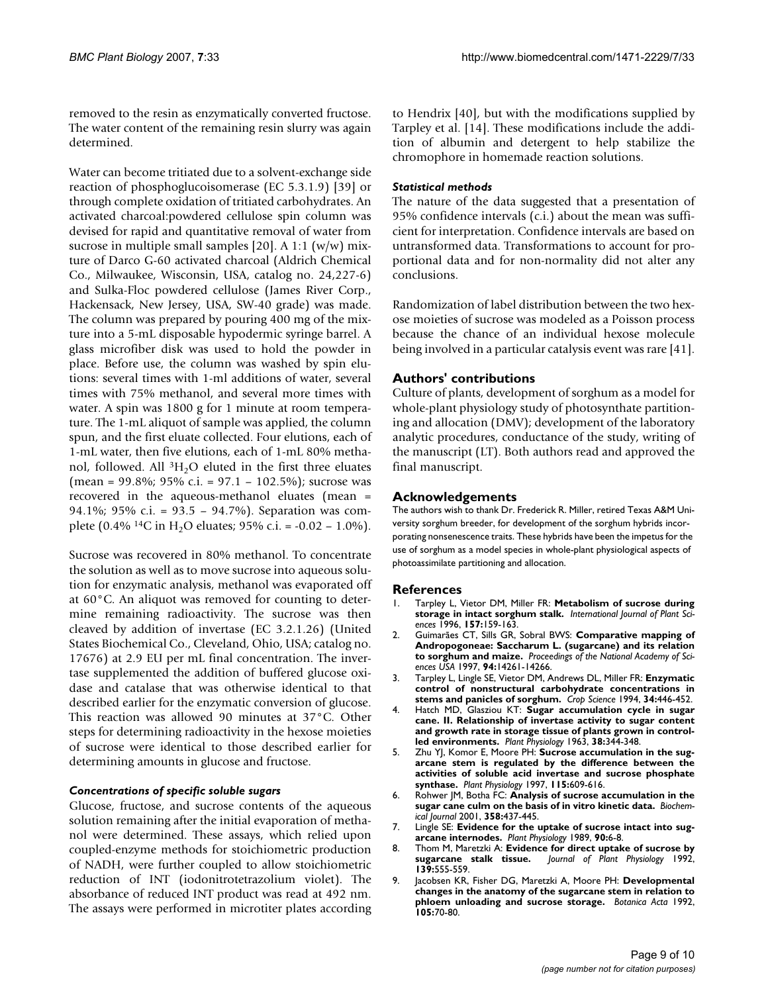removed to the resin as enzymatically converted fructose. The water content of the remaining resin slurry was again determined.

Water can become tritiated due to a solvent-exchange side reaction of phosphoglucoisomerase (EC 5.3.1.9) [39] or through complete oxidation of tritiated carbohydrates. An activated charcoal:powdered cellulose spin column was devised for rapid and quantitative removal of water from sucrose in multiple small samples [20]. A 1:1 (w/w) mixture of Darco G-60 activated charcoal (Aldrich Chemical Co., Milwaukee, Wisconsin, USA, catalog no. 24,227-6) and Sulka-Floc powdered cellulose (James River Corp., Hackensack, New Jersey, USA, SW-40 grade) was made. The column was prepared by pouring 400 mg of the mixture into a 5-mL disposable hypodermic syringe barrel. A glass microfiber disk was used to hold the powder in place. Before use, the column was washed by spin elutions: several times with 1-ml additions of water, several times with 75% methanol, and several more times with water. A spin was 1800 g for 1 minute at room temperature. The 1-mL aliquot of sample was applied, the column spun, and the first eluate collected. Four elutions, each of 1-mL water, then five elutions, each of 1-mL 80% methanol, followed. All  ${}^{3}H_{2}O$  eluted in the first three eluates (mean = 99.8%; 95% c.i. = 97.1 – 102.5%); sucrose was recovered in the aqueous-methanol eluates (mean = 94.1%; 95% c.i. = 93.5 – 94.7%). Separation was complete (0.4% <sup>14</sup>C in H<sub>2</sub>O eluates; 95% c.i. = -0.02 – 1.0%).

Sucrose was recovered in 80% methanol. To concentrate the solution as well as to move sucrose into aqueous solution for enzymatic analysis, methanol was evaporated off at 60°C. An aliquot was removed for counting to determine remaining radioactivity. The sucrose was then cleaved by addition of invertase (EC 3.2.1.26) (United States Biochemical Co., Cleveland, Ohio, USA; catalog no. 17676) at 2.9 EU per mL final concentration. The invertase supplemented the addition of buffered glucose oxidase and catalase that was otherwise identical to that described earlier for the enzymatic conversion of glucose. This reaction was allowed 90 minutes at 37°C. Other steps for determining radioactivity in the hexose moieties of sucrose were identical to those described earlier for determining amounts in glucose and fructose.

## *Concentrations of specific soluble sugars*

Glucose, fructose, and sucrose contents of the aqueous solution remaining after the initial evaporation of methanol were determined. These assays, which relied upon coupled-enzyme methods for stoichiometric production of NADH, were further coupled to allow stoichiometric reduction of INT (iodonitrotetrazolium violet). The absorbance of reduced INT product was read at 492 nm. The assays were performed in microtiter plates according to Hendrix [40], but with the modifications supplied by Tarpley et al. [14]. These modifications include the addition of albumin and detergent to help stabilize the chromophore in homemade reaction solutions.

## *Statistical methods*

The nature of the data suggested that a presentation of 95% confidence intervals (c.i.) about the mean was sufficient for interpretation. Confidence intervals are based on untransformed data. Transformations to account for proportional data and for non-normality did not alter any conclusions.

Randomization of label distribution between the two hexose moieties of sucrose was modeled as a Poisson process because the chance of an individual hexose molecule being involved in a particular catalysis event was rare [41].

# **Authors' contributions**

Culture of plants, development of sorghum as a model for whole-plant physiology study of photosynthate partitioning and allocation (DMV); development of the laboratory analytic procedures, conductance of the study, writing of the manuscript (LT). Both authors read and approved the final manuscript.

## **Acknowledgements**

The authors wish to thank Dr. Frederick R. Miller, retired Texas A&M University sorghum breeder, for development of the sorghum hybrids incorporating nonsenescence traits. These hybrids have been the impetus for the use of sorghum as a model species in whole-plant physiological aspects of photoassimilate partitioning and allocation.

## **References**

- 1. Tarpley L, Vietor DM, Miller FR: **Metabolism of sucrose during storage in intact sorghum stalk.** *International Journal of Plant Sciences* 1996, **157:**159-163.
- 2. Guimarães CT, Sills GR, Sobral BWS: **Comparative mapping of Andropogoneae: Saccharum L. (sugarcane) and its relation to sorghum and maize.** *Proceedings of the National Academy of Sciences USA* 1997, **94:**14261-14266.
- 3. Tarpley L, Lingle SE, Vietor DM, Andrews DL, Miller FR: **Enzymatic control of nonstructural carbohydrate concentrations in stems and panicles of sorghum.** *Crop Science* 1994, **34:**446-452.
- 4. Hatch MD, Glasziou KT: **[Sugar accumulation cycle in sugar](http://www.ncbi.nlm.nih.gov/entrez/query.fcgi?cmd=Retrieve&db=PubMed&dopt=Abstract&list_uids=16655794) cane. II. Relationship of invertase activity to sugar content [and growth rate in storage tissue of plants grown in control](http://www.ncbi.nlm.nih.gov/entrez/query.fcgi?cmd=Retrieve&db=PubMed&dopt=Abstract&list_uids=16655794)[led environments.](http://www.ncbi.nlm.nih.gov/entrez/query.fcgi?cmd=Retrieve&db=PubMed&dopt=Abstract&list_uids=16655794)** *Plant Physiology* 1963, **38:**344-348.
- 5. Zhu YJ, Komor E, Moore PH: **[Sucrose accumulation in the sug](http://www.ncbi.nlm.nih.gov/entrez/query.fcgi?cmd=Retrieve&db=PubMed&dopt=Abstract&list_uids=12223829)arcane stem is regulated by the difference between the [activities of soluble acid invertase and sucrose phosphate](http://www.ncbi.nlm.nih.gov/entrez/query.fcgi?cmd=Retrieve&db=PubMed&dopt=Abstract&list_uids=12223829) [synthase.](http://www.ncbi.nlm.nih.gov/entrez/query.fcgi?cmd=Retrieve&db=PubMed&dopt=Abstract&list_uids=12223829)** *Plant Physiology* 1997, **115:**609-616.
- 6. Rohwer JM, Botha FC: **[Analysis of sucrose accumulation in the](http://www.ncbi.nlm.nih.gov/entrez/query.fcgi?cmd=Retrieve&db=PubMed&dopt=Abstract&list_uids=11513743) [sugar cane culm on the basis of in vitro kinetic data.](http://www.ncbi.nlm.nih.gov/entrez/query.fcgi?cmd=Retrieve&db=PubMed&dopt=Abstract&list_uids=11513743)** *Biochemical Journal* 2001, **358:**437-445.
- 7. Lingle SE: **[Evidence for the uptake of sucrose intact into sug](http://www.ncbi.nlm.nih.gov/entrez/query.fcgi?cmd=Retrieve&db=PubMed&dopt=Abstract&list_uids=16666769)[arcane internodes.](http://www.ncbi.nlm.nih.gov/entrez/query.fcgi?cmd=Retrieve&db=PubMed&dopt=Abstract&list_uids=16666769)** *Plant Physiology* 1989, **90:**6-8.
- 8. Thom M, Maretzki A: **Evidence for direct uptake of sucrose by sugarcane stalk tissue.** *Journal of Plant Physiology* 1992, **139:**555-559.
- 9. Jacobsen KR, Fisher DG, Maretzki A, Moore PH: **Developmental changes in the anatomy of the sugarcane stem in relation to phloem unloading and sucrose storage.** *Botanica Acta* 1992, **105:**70-80.